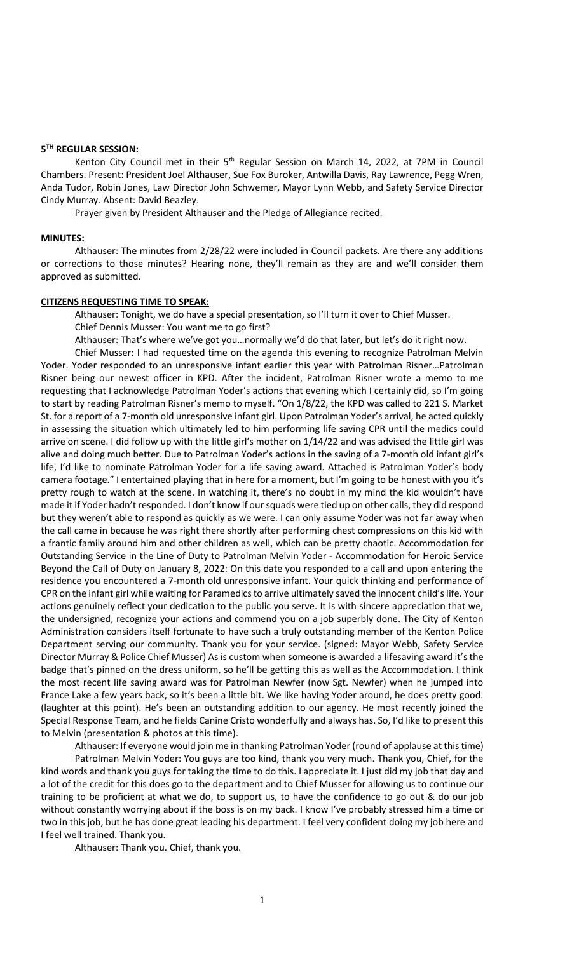### **5 TH REGULAR SESSION:**

Kenton City Council met in their 5<sup>th</sup> Regular Session on March 14, 2022, at 7PM in Council Chambers. Present: President Joel Althauser, Sue Fox Buroker, Antwilla Davis, Ray Lawrence, Pegg Wren, Anda Tudor, Robin Jones, Law Director John Schwemer, Mayor Lynn Webb, and Safety Service Director Cindy Murray. Absent: David Beazley.

Prayer given by President Althauser and the Pledge of Allegiance recited.

### **MINUTES:**

Althauser: The minutes from 2/28/22 were included in Council packets. Are there any additions or corrections to those minutes? Hearing none, they'll remain as they are and we'll consider them approved as submitted.

## **CITIZENS REQUESTING TIME TO SPEAK:**

Althauser: Tonight, we do have a special presentation, so I'll turn it over to Chief Musser. Chief Dennis Musser: You want me to go first?

Althauser: That's where we've got you…normally we'd do that later, but let's do it right now.

Chief Musser: I had requested time on the agenda this evening to recognize Patrolman Melvin Yoder. Yoder responded to an unresponsive infant earlier this year with Patrolman Risner…Patrolman Risner being our newest officer in KPD. After the incident, Patrolman Risner wrote a memo to me requesting that I acknowledge Patrolman Yoder's actions that evening which I certainly did, so I'm going to start by reading Patrolman Risner's memo to myself. "On 1/8/22, the KPD was called to 221 S. Market St. for a report of a 7-month old unresponsive infant girl. Upon Patrolman Yoder's arrival, he acted quickly in assessing the situation which ultimately led to him performing life saving CPR until the medics could arrive on scene. I did follow up with the little girl's mother on 1/14/22 and was advised the little girl was alive and doing much better. Due to Patrolman Yoder's actions in the saving of a 7-month old infant girl's life, I'd like to nominate Patrolman Yoder for a life saving award. Attached is Patrolman Yoder's body camera footage." I entertained playing that in here for a moment, but I'm going to be honest with you it's pretty rough to watch at the scene. In watching it, there's no doubt in my mind the kid wouldn't have made it if Yoder hadn't responded. I don't know if our squads were tied up on other calls, they did respond but they weren't able to respond as quickly as we were. I can only assume Yoder was not far away when the call came in because he was right there shortly after performing chest compressions on this kid with a frantic family around him and other children as well, which can be pretty chaotic. Accommodation for Outstanding Service in the Line of Duty to Patrolman Melvin Yoder - Accommodation for Heroic Service Beyond the Call of Duty on January 8, 2022: On this date you responded to a call and upon entering the residence you encountered a 7-month old unresponsive infant. Your quick thinking and performance of CPR on the infant girl while waiting for Paramedics to arrive ultimately saved the innocent child's life. Your actions genuinely reflect your dedication to the public you serve. It is with sincere appreciation that we, the undersigned, recognize your actions and commend you on a job superbly done. The City of Kenton Administration considers itself fortunate to have such a truly outstanding member of the Kenton Police Department serving our community. Thank you for your service. (signed: Mayor Webb, Safety Service Director Murray & Police Chief Musser) As is custom when someone is awarded a lifesaving award it's the badge that's pinned on the dress uniform, so he'll be getting this as well as the Accommodation. I think the most recent life saving award was for Patrolman Newfer (now Sgt. Newfer) when he jumped into France Lake a few years back, so it's been a little bit. We like having Yoder around, he does pretty good. (laughter at this point). He's been an outstanding addition to our agency. He most recently joined the Special Response Team, and he fields Canine Cristo wonderfully and always has. So, I'd like to present this to Melvin (presentation & photos at this time).

Althauser: If everyone would join me in thanking Patrolman Yoder (round of applause at this time) Patrolman Melvin Yoder: You guys are too kind, thank you very much. Thank you, Chief, for the kind words and thank you guys for taking the time to do this. I appreciate it. I just did my job that day and a lot of the credit for this does go to the department and to Chief Musser for allowing us to continue our training to be proficient at what we do, to support us, to have the confidence to go out & do our job without constantly worrying about if the boss is on my back. I know I've probably stressed him a time or two in this job, but he has done great leading his department. I feel very confident doing my job here and I feel well trained. Thank you.

Althauser: Thank you. Chief, thank you.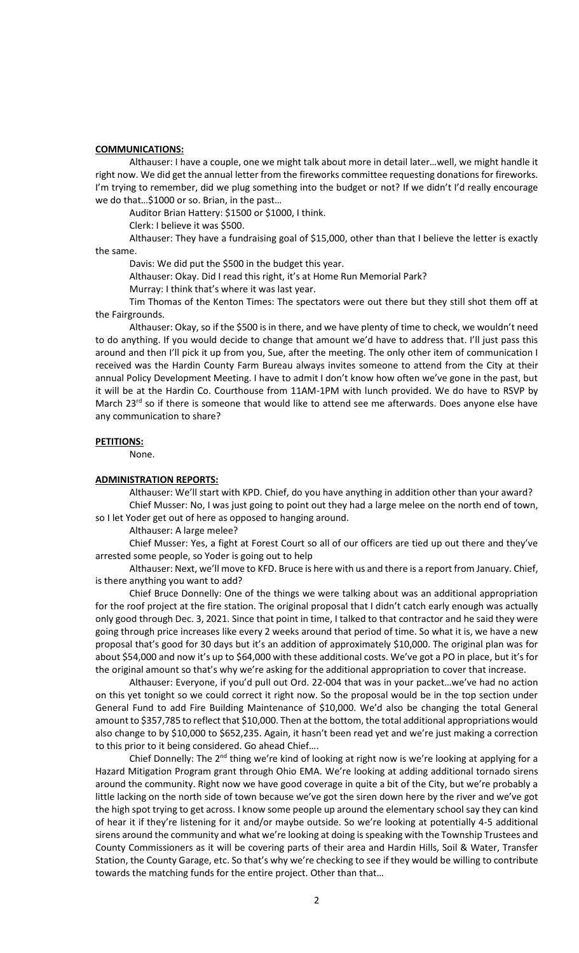## **COMMUNICATIONS:**

Althauser: I have a couple, one we might talk about more in detail later…well, we might handle it right now. We did get the annual letter from the fireworks committee requesting donations for fireworks. I'm trying to remember, did we plug something into the budget or not? If we didn't I'd really encourage we do that…\$1000 or so. Brian, in the past…

Auditor Brian Hattery: \$1500 or \$1000, I think.

Clerk: I believe it was \$500.

Althauser: They have a fundraising goal of \$15,000, other than that I believe the letter is exactly the same.

Davis: We did put the \$500 in the budget this year.

Althauser: Okay. Did I read this right, it's at Home Run Memorial Park?

Murray: I think that's where it was last year.

Tim Thomas of the Kenton Times: The spectators were out there but they still shot them off at the Fairgrounds.

Althauser: Okay, so if the \$500 is in there, and we have plenty of time to check, we wouldn't need to do anything. If you would decide to change that amount we'd have to address that. I'll just pass this around and then I'll pick it up from you, Sue, after the meeting. The only other item of communication I received was the Hardin County Farm Bureau always invites someone to attend from the City at their annual Policy Development Meeting. I have to admit I don't know how often we've gone in the past, but it will be at the Hardin Co. Courthouse from 11AM-1PM with lunch provided. We do have to RSVP by March 23 $^{rd}$  so if there is someone that would like to attend see me afterwards. Does anyone else have any communication to share?

### **PETITIONS:**

None.

#### **ADMINISTRATION REPORTS:**

Althauser: We'll start with KPD. Chief, do you have anything in addition other than your award? Chief Musser: No, I was just going to point out they had a large melee on the north end of town,

so I let Yoder get out of here as opposed to hanging around.

Althauser: A large melee?

Chief Musser: Yes, a fight at Forest Court so all of our officers are tied up out there and they've arrested some people, so Yoder is going out to help

Althauser: Next, we'll move to KFD. Bruce is here with us and there is a report from January. Chief, is there anything you want to add?

Chief Bruce Donnelly: One of the things we were talking about was an additional appropriation for the roof project at the fire station. The original proposal that I didn't catch early enough was actually only good through Dec. 3, 2021. Since that point in time, I talked to that contractor and he said they were going through price increases like every 2 weeks around that period of time. So what it is, we have a new proposal that's good for 30 days but it's an addition of approximately \$10,000. The original plan was for about \$54,000 and now it's up to \$64,000 with these additional costs. We've got a PO in place, but it's for the original amount so that's why we're asking for the additional appropriation to cover that increase.

Althauser: Everyone, if you'd pull out Ord. 22-004 that was in your packet…we've had no action on this yet tonight so we could correct it right now. So the proposal would be in the top section under General Fund to add Fire Building Maintenance of \$10,000. We'd also be changing the total General amount to \$357,785 to reflect that \$10,000. Then at the bottom, the total additional appropriations would also change to by \$10,000 to \$652,235. Again, it hasn't been read yet and we're just making a correction to this prior to it being considered. Go ahead Chief….

Chief Donnelly: The  $2^{nd}$  thing we're kind of looking at right now is we're looking at applying for a Hazard Mitigation Program grant through Ohio EMA. We're looking at adding additional tornado sirens around the community. Right now we have good coverage in quite a bit of the City, but we're probably a little lacking on the north side of town because we've got the siren down here by the river and we've got the high spot trying to get across. I know some people up around the elementary school say they can kind of hear it if they're listening for it and/or maybe outside. So we're looking at potentially 4-5 additional sirens around the community and what we're looking at doing is speaking with the Township Trustees and County Commissioners as it will be covering parts of their area and Hardin Hills, Soil & Water, Transfer Station, the County Garage, etc. So that's why we're checking to see if they would be willing to contribute towards the matching funds for the entire project. Other than that…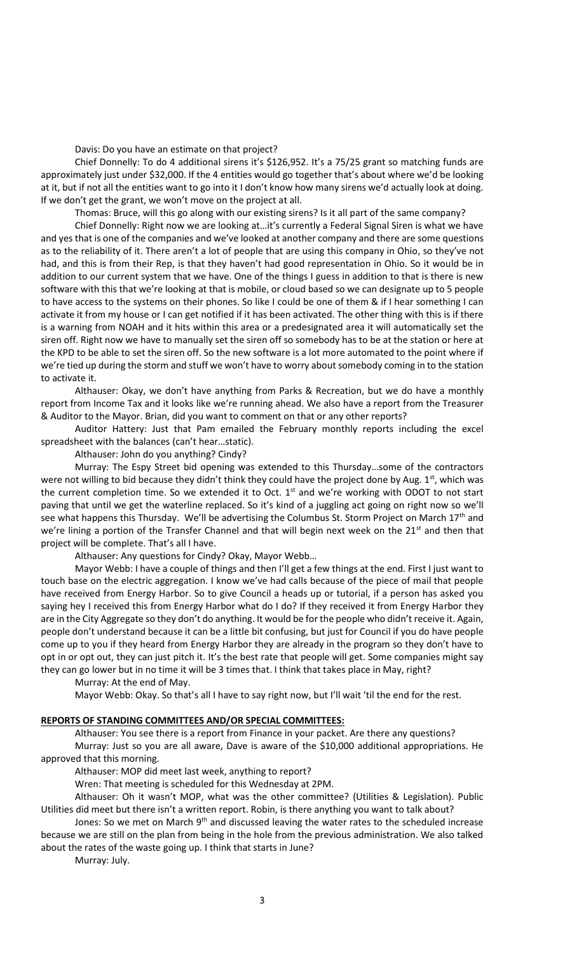Davis: Do you have an estimate on that project?

Chief Donnelly: To do 4 additional sirens it's \$126,952. It's a 75/25 grant so matching funds are approximately just under \$32,000. If the 4 entities would go together that's about where we'd be looking at it, but if not all the entities want to go into it I don't know how many sirens we'd actually look at doing. If we don't get the grant, we won't move on the project at all.

Thomas: Bruce, will this go along with our existing sirens? Is it all part of the same company?

Chief Donnelly: Right now we are looking at…it's currently a Federal Signal Siren is what we have and yes that is one of the companies and we've looked at another company and there are some questions as to the reliability of it. There aren't a lot of people that are using this company in Ohio, so they've not had, and this is from their Rep, is that they haven't had good representation in Ohio. So it would be in addition to our current system that we have. One of the things I guess in addition to that is there is new software with this that we're looking at that is mobile, or cloud based so we can designate up to 5 people to have access to the systems on their phones. So like I could be one of them & if I hear something I can activate it from my house or I can get notified if it has been activated. The other thing with this is if there is a warning from NOAH and it hits within this area or a predesignated area it will automatically set the siren off. Right now we have to manually set the siren off so somebody has to be at the station or here at the KPD to be able to set the siren off. So the new software is a lot more automated to the point where if we're tied up during the storm and stuff we won't have to worry about somebody coming in to the station to activate it.

Althauser: Okay, we don't have anything from Parks & Recreation, but we do have a monthly report from Income Tax and it looks like we're running ahead. We also have a report from the Treasurer & Auditor to the Mayor. Brian, did you want to comment on that or any other reports?

Auditor Hattery: Just that Pam emailed the February monthly reports including the excel spreadsheet with the balances (can't hear…static).

Althauser: John do you anything? Cindy?

Murray: The Espy Street bid opening was extended to this Thursday…some of the contractors were not willing to bid because they didn't think they could have the project done by Aug. 1<sup>st</sup>, which was the current completion time. So we extended it to Oct.  $1<sup>st</sup>$  and we're working with ODOT to not start paving that until we get the waterline replaced. So it's kind of a juggling act going on right now so we'll see what happens this Thursday. We'll be advertising the Columbus St. Storm Project on March 17<sup>th</sup> and we're lining a portion of the Transfer Channel and that will begin next week on the  $21<sup>st</sup>$  and then that project will be complete. That's all I have.

Althauser: Any questions for Cindy? Okay, Mayor Webb…

Mayor Webb: I have a couple of things and then I'll get a few things at the end. First I just want to touch base on the electric aggregation. I know we've had calls because of the piece of mail that people have received from Energy Harbor. So to give Council a heads up or tutorial, if a person has asked you saying hey I received this from Energy Harbor what do I do? If they received it from Energy Harbor they are in the City Aggregate so they don't do anything. It would be for the people who didn't receive it. Again, people don't understand because it can be a little bit confusing, but just for Council if you do have people come up to you if they heard from Energy Harbor they are already in the program so they don't have to opt in or opt out, they can just pitch it. It's the best rate that people will get. Some companies might say they can go lower but in no time it will be 3 times that. I think that takes place in May, right?

Murray: At the end of May.

Mayor Webb: Okay. So that's all I have to say right now, but I'll wait 'til the end for the rest.

#### **REPORTS OF STANDING COMMITTEES AND/OR SPECIAL COMMITTEES:**

Althauser: You see there is a report from Finance in your packet. Are there any questions? Murray: Just so you are all aware, Dave is aware of the \$10,000 additional appropriations. He approved that this morning.

Althauser: MOP did meet last week, anything to report?

Wren: That meeting is scheduled for this Wednesday at 2PM.

Althauser: Oh it wasn't MOP, what was the other committee? (Utilities & Legislation). Public Utilities did meet but there isn't a written report. Robin, is there anything you want to talk about?

Jones: So we met on March 9<sup>th</sup> and discussed leaving the water rates to the scheduled increase because we are still on the plan from being in the hole from the previous administration. We also talked about the rates of the waste going up. I think that starts in June?

Murray: July.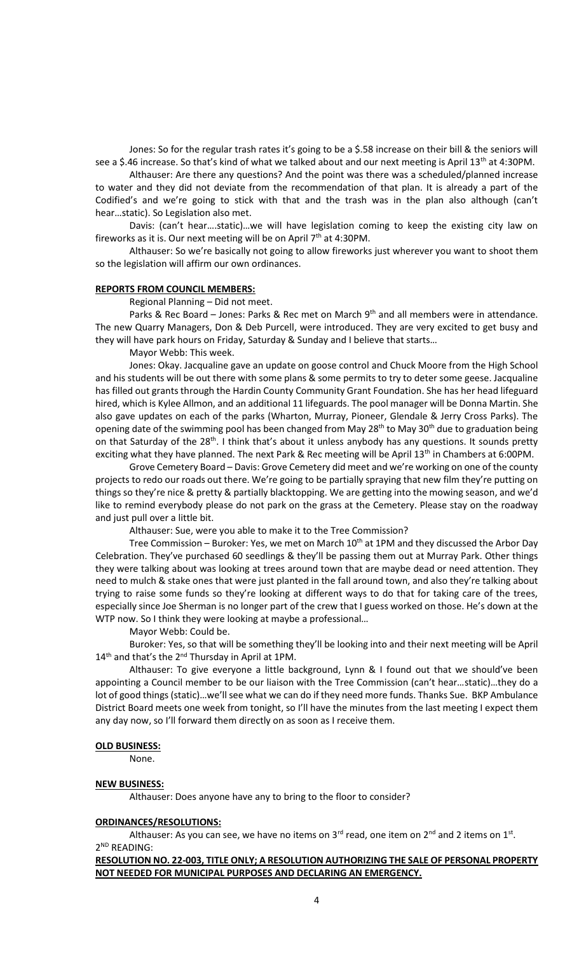Jones: So for the regular trash rates it's going to be a \$.58 increase on their bill & the seniors will see a \$.46 increase. So that's kind of what we talked about and our next meeting is April 13<sup>th</sup> at 4:30PM.

Althauser: Are there any questions? And the point was there was a scheduled/planned increase to water and they did not deviate from the recommendation of that plan. It is already a part of the Codified's and we're going to stick with that and the trash was in the plan also although (can't hear…static). So Legislation also met.

Davis: (can't hear….static)…we will have legislation coming to keep the existing city law on fireworks as it is. Our next meeting will be on April  $7<sup>th</sup>$  at 4:30PM.

Althauser: So we're basically not going to allow fireworks just wherever you want to shoot them so the legislation will affirm our own ordinances.

#### **REPORTS FROM COUNCIL MEMBERS:**

Regional Planning – Did not meet.

Parks & Rec Board – Jones: Parks & Rec met on March  $9<sup>th</sup>$  and all members were in attendance. The new Quarry Managers, Don & Deb Purcell, were introduced. They are very excited to get busy and they will have park hours on Friday, Saturday & Sunday and I believe that starts…

Mayor Webb: This week.

Jones: Okay. Jacqualine gave an update on goose control and Chuck Moore from the High School and his students will be out there with some plans & some permits to try to deter some geese. Jacqualine has filled out grants through the Hardin County Community Grant Foundation. She has her head lifeguard hired, which is Kylee Allmon, and an additional 11 lifeguards. The pool manager will be Donna Martin. She also gave updates on each of the parks (Wharton, Murray, Pioneer, Glendale & Jerry Cross Parks). The opening date of the swimming pool has been changed from May 28<sup>th</sup> to May 30<sup>th</sup> due to graduation being on that Saturday of the  $28<sup>th</sup>$ . I think that's about it unless anybody has any questions. It sounds pretty exciting what they have planned. The next Park & Rec meeting will be April 13<sup>th</sup> in Chambers at 6:00PM.

Grove Cemetery Board – Davis: Grove Cemetery did meet and we're working on one of the county projects to redo our roads out there. We're going to be partially spraying that new film they're putting on things so they're nice & pretty & partially blacktopping. We are getting into the mowing season, and we'd like to remind everybody please do not park on the grass at the Cemetery. Please stay on the roadway and just pull over a little bit.

Althauser: Sue, were you able to make it to the Tree Commission?

Tree Commission – Buroker: Yes, we met on March  $10<sup>th</sup>$  at 1PM and they discussed the Arbor Day Celebration. They've purchased 60 seedlings & they'll be passing them out at Murray Park. Other things they were talking about was looking at trees around town that are maybe dead or need attention. They need to mulch & stake ones that were just planted in the fall around town, and also they're talking about trying to raise some funds so they're looking at different ways to do that for taking care of the trees, especially since Joe Sherman is no longer part of the crew that I guess worked on those. He's down at the WTP now. So I think they were looking at maybe a professional...

Mayor Webb: Could be.

Buroker: Yes, so that will be something they'll be looking into and their next meeting will be April  $14<sup>th</sup>$  and that's the 2<sup>nd</sup> Thursday in April at 1PM.

Althauser: To give everyone a little background, Lynn & I found out that we should've been appointing a Council member to be our liaison with the Tree Commission (can't hear…static)…they do a lot of good things (static)…we'll see what we can do if they need more funds. Thanks Sue. BKP Ambulance District Board meets one week from tonight, so I'll have the minutes from the last meeting I expect them any day now, so I'll forward them directly on as soon as I receive them.

#### **OLD BUSINESS:**

None.

#### **NEW BUSINESS:**

Althauser: Does anyone have any to bring to the floor to consider?

#### **ORDINANCES/RESOLUTIONS:**

Althauser: As you can see, we have no items on 3<sup>rd</sup> read, one item on 2<sup>nd</sup> and 2 items on 1<sup>st</sup>. 2 ND READING:

**RESOLUTION NO. 22-003, TITLE ONLY; A RESOLUTION AUTHORIZING THE SALE OF PERSONAL PROPERTY NOT NEEDED FOR MUNICIPAL PURPOSES AND DECLARING AN EMERGENCY.**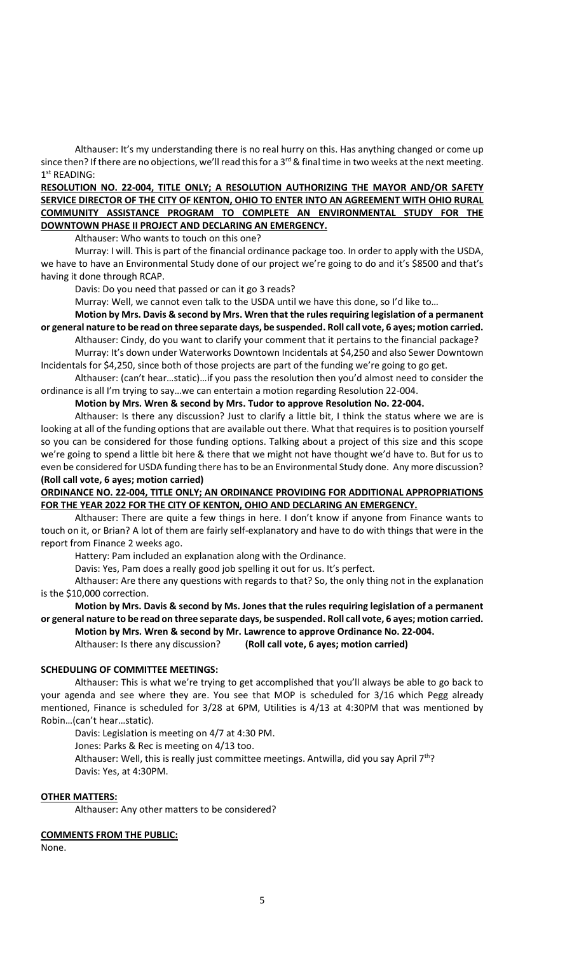Althauser: It's my understanding there is no real hurry on this. Has anything changed or come up since then? If there are no objections, we'll read this for a  $3^{rd}$  & final time in two weeks at the next meeting. 1 st READING:

## **RESOLUTION NO. 22-004, TITLE ONLY; A RESOLUTION AUTHORIZING THE MAYOR AND/OR SAFETY SERVICE DIRECTOR OF THE CITY OF KENTON, OHIO TO ENTER INTO AN AGREEMENT WITH OHIO RURAL COMMUNITY ASSISTANCE PROGRAM TO COMPLETE AN ENVIRONMENTAL STUDY FOR THE DOWNTOWN PHASE II PROJECT AND DECLARING AN EMERGENCY.**

Althauser: Who wants to touch on this one?

Murray: I will. This is part of the financial ordinance package too. In order to apply with the USDA, we have to have an Environmental Study done of our project we're going to do and it's \$8500 and that's having it done through RCAP.

Davis: Do you need that passed or can it go 3 reads?

Murray: Well, we cannot even talk to the USDA until we have this done, so I'd like to…

**Motion by Mrs. Davis & second by Mrs. Wren that the rules requiring legislation of a permanent or general nature to be read on three separate days, be suspended. Roll call vote, 6 ayes; motion carried.** 

Althauser: Cindy, do you want to clarify your comment that it pertains to the financial package? Murray: It's down under Waterworks Downtown Incidentals at \$4,250 and also Sewer Downtown Incidentals for \$4,250, since both of those projects are part of the funding we're going to go get.

Althauser: (can't hear…static)…if you pass the resolution then you'd almost need to consider the ordinance is all I'm trying to say…we can entertain a motion regarding Resolution 22-004.

## **Motion by Mrs. Wren & second by Mrs. Tudor to approve Resolution No. 22-004.**

Althauser: Is there any discussion? Just to clarify a little bit, I think the status where we are is looking at all of the funding options that are available out there. What that requires is to position yourself so you can be considered for those funding options. Talking about a project of this size and this scope we're going to spend a little bit here & there that we might not have thought we'd have to. But for us to even be considered for USDA funding there has to be an Environmental Study done. Any more discussion? **(Roll call vote, 6 ayes; motion carried)**

## **ORDINANCE NO. 22-004, TITLE ONLY; AN ORDINANCE PROVIDING FOR ADDITIONAL APPROPRIATIONS FOR THE YEAR 2022 FOR THE CITY OF KENTON, OHIO AND DECLARING AN EMERGENCY.**

Althauser: There are quite a few things in here. I don't know if anyone from Finance wants to touch on it, or Brian? A lot of them are fairly self-explanatory and have to do with things that were in the report from Finance 2 weeks ago.

Hattery: Pam included an explanation along with the Ordinance.

Davis: Yes, Pam does a really good job spelling it out for us. It's perfect.

Althauser: Are there any questions with regards to that? So, the only thing not in the explanation is the \$10,000 correction.

## **Motion by Mrs. Davis & second by Ms. Jones that the rules requiring legislation of a permanent or general nature to be read on three separate days, be suspended. Roll call vote, 6 ayes; motion carried. Motion by Mrs. Wren & second by Mr. Lawrence to approve Ordinance No. 22-004.**

Althauser: Is there any discussion? **(Roll call vote, 6 ayes; motion carried)** 

## **SCHEDULING OF COMMITTEE MEETINGS:**

Althauser: This is what we're trying to get accomplished that you'll always be able to go back to your agenda and see where they are. You see that MOP is scheduled for 3/16 which Pegg already mentioned, Finance is scheduled for 3/28 at 6PM, Utilities is 4/13 at 4:30PM that was mentioned by Robin…(can't hear…static).

Davis: Legislation is meeting on 4/7 at 4:30 PM.

Jones: Parks & Rec is meeting on 4/13 too.

Althauser: Well, this is really just committee meetings. Antwilla, did you say April  $7<sup>th</sup>$ ? Davis: Yes, at 4:30PM.

#### **OTHER MATTERS:**

Althauser: Any other matters to be considered?

#### **COMMENTS FROM THE PUBLIC:**

None.